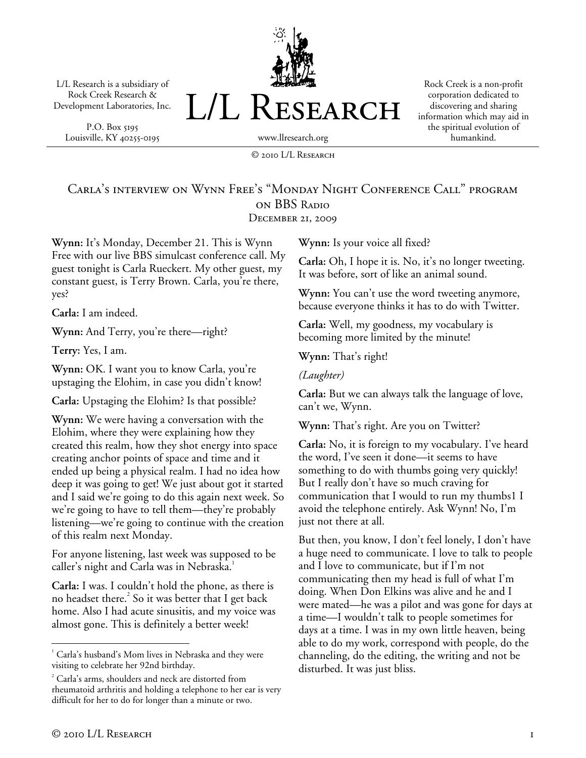L/L Research is a subsidiary of Rock Creek Research & Development Laboratories, Inc.

P.O. Box 5195 Louisville, KY 40255-0195



Rock Creek is a non-profit corporation dedicated to discovering and sharing information which may aid in the spiritual evolution of humankind.

© 2010 L/L Research

#### Carla's interview on Wynn Free's "Monday Night Conference Call" program on BBS Radio December 21, 2009

**Wynn:** It's Monday, December 21. This is Wynn Free with our live BBS simulcast conference call. My guest tonight is Carla Rueckert. My other guest, my constant guest, is Terry Brown. Carla, you're there, yes?

**Carla:** I am indeed.

**Wynn:** And Terry, you're there—right?

**Terry:** Yes, I am.

**Wynn:** OK. I want you to know Carla, you're upstaging the Elohim, in case you didn't know!

**Carla:** Upstaging the Elohim? Is that possible?

**Wynn:** We were having a conversation with the Elohim, where they were explaining how they created this realm, how they shot energy into space creating anchor points of space and time and it ended up being a physical realm. I had no idea how deep it was going to get! We just about got it started and I said we're going to do this again next week. So we're going to have to tell them—they're probably listening—we're going to continue with the creation of this realm next Monday.

For anyone listening, last week was supposed to be caller's night and Carla was in Nebraska.<sup>1</sup>

**Carla:** I was. I couldn't hold the phone, as there is no headset there. $^2$  So it was better that I get back home. Also I had acute sinusitis, and my voice was almost gone. This is definitely a better week!

**Wynn:** Is your voice all fixed?

**Carla:** Oh, I hope it is. No, it's no longer tweeting. It was before, sort of like an animal sound.

**Wynn:** You can't use the word tweeting anymore, because everyone thinks it has to do with Twitter.

**Carla:** Well, my goodness, my vocabulary is becoming more limited by the minute!

**Wynn:** That's right!

*(Laughter)* 

**Carla:** But we can always talk the language of love, can't we, Wynn.

**Wynn:** That's right. Are you on Twitter?

**Carla:** No, it is foreign to my vocabulary. I've heard the word, I've seen it done—it seems to have something to do with thumbs going very quickly! But I really don't have so much craving for communication that I would to run my thumbs1 I avoid the telephone entirely. Ask Wynn! No, I'm just not there at all.

But then, you know, I don't feel lonely, I don't have a huge need to communicate. I love to talk to people and I love to communicate, but if I'm not communicating then my head is full of what I'm doing. When Don Elkins was alive and he and I were mated—he was a pilot and was gone for days at a time—I wouldn't talk to people sometimes for days at a time. I was in my own little heaven, being able to do my work, correspond with people, do the channeling, do the editing, the writing and not be disturbed. It was just bliss.

 $\overline{a}$  $1$  Carla's husband's Mom lives in Nebraska and they were visiting to celebrate her 92nd birthday.

<sup>2</sup> Carla's arms, shoulders and neck are distorted from rheumatoid arthritis and holding a telephone to her ear is very difficult for her to do for longer than a minute or two.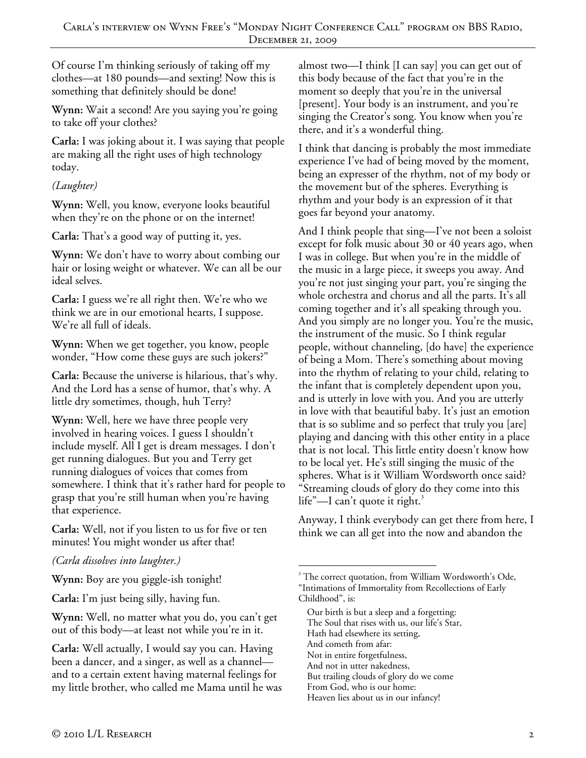Of course I'm thinking seriously of taking off my clothes—at 180 pounds—and sexting! Now this is something that definitely should be done!

**Wynn:** Wait a second! Are you saying you're going to take off your clothes?

**Carla:** I was joking about it. I was saying that people are making all the right uses of high technology today.

## *(Laughter)*

**Wynn:** Well, you know, everyone looks beautiful when they're on the phone or on the internet!

**Carla:** That's a good way of putting it, yes.

**Wynn:** We don't have to worry about combing our hair or losing weight or whatever. We can all be our ideal selves.

**Carla:** I guess we're all right then. We're who we think we are in our emotional hearts, I suppose. We're all full of ideals.

**Wynn:** When we get together, you know, people wonder, "How come these guys are such jokers?"

**Carla:** Because the universe is hilarious, that's why. And the Lord has a sense of humor, that's why. A little dry sometimes, though, huh Terry?

**Wynn:** Well, here we have three people very involved in hearing voices. I guess I shouldn't include myself. All I get is dream messages. I don't get running dialogues. But you and Terry get running dialogues of voices that comes from somewhere. I think that it's rather hard for people to grasp that you're still human when you're having that experience.

**Carla:** Well, not if you listen to us for five or ten minutes! You might wonder us after that!

*(Carla dissolves into laughter.)* 

**Wynn:** Boy are you giggle-ish tonight!

**Carla:** I'm just being silly, having fun.

**Wynn:** Well, no matter what you do, you can't get out of this body—at least not while you're in it.

**Carla:** Well actually, I would say you can. Having been a dancer, and a singer, as well as a channel and to a certain extent having maternal feelings for my little brother, who called me Mama until he was almost two—I think [I can say] you can get out of this body because of the fact that you're in the moment so deeply that you're in the universal [present]. Your body is an instrument, and you're singing the Creator's song. You know when you're there, and it's a wonderful thing.

I think that dancing is probably the most immediate experience I've had of being moved by the moment, being an expresser of the rhythm, not of my body or the movement but of the spheres. Everything is rhythm and your body is an expression of it that goes far beyond your anatomy.

And I think people that sing—I've not been a soloist except for folk music about 30 or 40 years ago, when I was in college. But when you're in the middle of the music in a large piece, it sweeps you away. And you're not just singing your part, you're singing the whole orchestra and chorus and all the parts. It's all coming together and it's all speaking through you. And you simply are no longer you. You're the music, the instrument of the music. So I think regular people, without channeling, [do have] the experience of being a Mom. There's something about moving into the rhythm of relating to your child, relating to the infant that is completely dependent upon you, and is utterly in love with you. And you are utterly in love with that beautiful baby. It's just an emotion that is so sublime and so perfect that truly you [are] playing and dancing with this other entity in a place that is not local. This little entity doesn't know how to be local yet. He's still singing the music of the spheres. What is it William Wordsworth once said? "Streaming clouds of glory do they come into this life"—I can't quote it right.<sup>3</sup>

Anyway, I think everybody can get there from here, I think we can all get into the now and abandon the

Our birth is but a sleep and a forgetting:

The Soul that rises with us, our life's Star,

Hath had elsewhere its setting,

And cometh from afar:

 $\overline{a}$ 

- Not in entire forgetfulness,
- And not in utter nakedness,
- But trailing clouds of glory do we come From God, who is our home:
- Heaven lies about us in our infancy!

<sup>&</sup>lt;sup>3</sup> The correct quotation, from William Wordsworth's Ode,

<sup>&</sup>quot;Intimations of Immortality from Recollections of Early Childhood", is: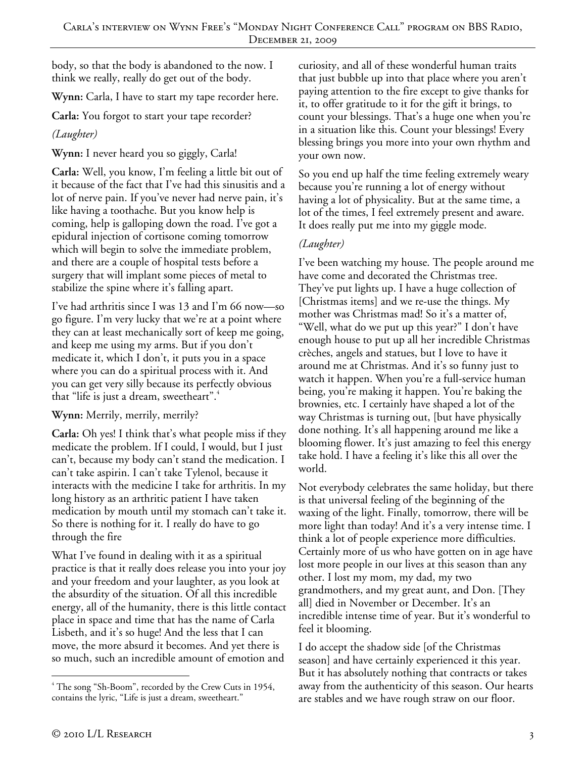body, so that the body is abandoned to the now. I think we really, really do get out of the body.

**Wynn:** Carla, I have to start my tape recorder here.

**Carla:** You forgot to start your tape recorder?

# *(Laughter)*

**Wynn:** I never heard you so giggly, Carla!

**Carla:** Well, you know, I'm feeling a little bit out of it because of the fact that I've had this sinusitis and a lot of nerve pain. If you've never had nerve pain, it's like having a toothache. But you know help is coming, help is galloping down the road. I've got a epidural injection of cortisone coming tomorrow which will begin to solve the immediate problem, and there are a couple of hospital tests before a surgery that will implant some pieces of metal to stabilize the spine where it's falling apart.

I've had arthritis since I was 13 and I'm 66 now—so go figure. I'm very lucky that we're at a point where they can at least mechanically sort of keep me going, and keep me using my arms. But if you don't medicate it, which I don't, it puts you in a space where you can do a spiritual process with it. And you can get very silly because its perfectly obvious that "life is just a dream, sweetheart".<sup>4</sup>

# **Wynn:** Merrily, merrily, merrily?

**Carla:** Oh yes! I think that's what people miss if they medicate the problem. If I could, I would, but I just can't, because my body can't stand the medication. I can't take aspirin. I can't take Tylenol, because it interacts with the medicine I take for arthritis. In my long history as an arthritic patient I have taken medication by mouth until my stomach can't take it. So there is nothing for it. I really do have to go through the fire

What I've found in dealing with it as a spiritual practice is that it really does release you into your joy and your freedom and your laughter, as you look at the absurdity of the situation. Of all this incredible energy, all of the humanity, there is this little contact place in space and time that has the name of Carla Lisbeth, and it's so huge! And the less that I can move, the more absurd it becomes. And yet there is so much, such an incredible amount of emotion and

curiosity, and all of these wonderful human traits that just bubble up into that place where you aren't paying attention to the fire except to give thanks for it, to offer gratitude to it for the gift it brings, to count your blessings. That's a huge one when you're in a situation like this. Count your blessings! Every blessing brings you more into your own rhythm and your own now.

So you end up half the time feeling extremely weary because you're running a lot of energy without having a lot of physicality. But at the same time, a lot of the times, I feel extremely present and aware. It does really put me into my giggle mode.

# *(Laughter)*

I've been watching my house. The people around me have come and decorated the Christmas tree. They've put lights up. I have a huge collection of [Christmas items] and we re-use the things. My mother was Christmas mad! So it's a matter of, "Well, what do we put up this year?" I don't have enough house to put up all her incredible Christmas crèches, angels and statues, but I love to have it around me at Christmas. And it's so funny just to watch it happen. When you're a full-service human being, you're making it happen. You're baking the brownies, etc. I certainly have shaped a lot of the way Christmas is turning out, [but have physically done nothing. It's all happening around me like a blooming flower. It's just amazing to feel this energy take hold. I have a feeling it's like this all over the world.

Not everybody celebrates the same holiday, but there is that universal feeling of the beginning of the waxing of the light. Finally, tomorrow, there will be more light than today! And it's a very intense time. I think a lot of people experience more difficulties. Certainly more of us who have gotten on in age have lost more people in our lives at this season than any other. I lost my mom, my dad, my two grandmothers, and my great aunt, and Don. [They all] died in November or December. It's an incredible intense time of year. But it's wonderful to feel it blooming.

I do accept the shadow side [of the Christmas season] and have certainly experienced it this year. But it has absolutely nothing that contracts or takes away from the authenticity of this season. Our hearts are stables and we have rough straw on our floor.

 $\overline{a}$ <sup>4</sup> The song "Sh-Boom", recorded by the Crew Cuts in 1954, contains the lyric, "Life is just a dream, sweetheart."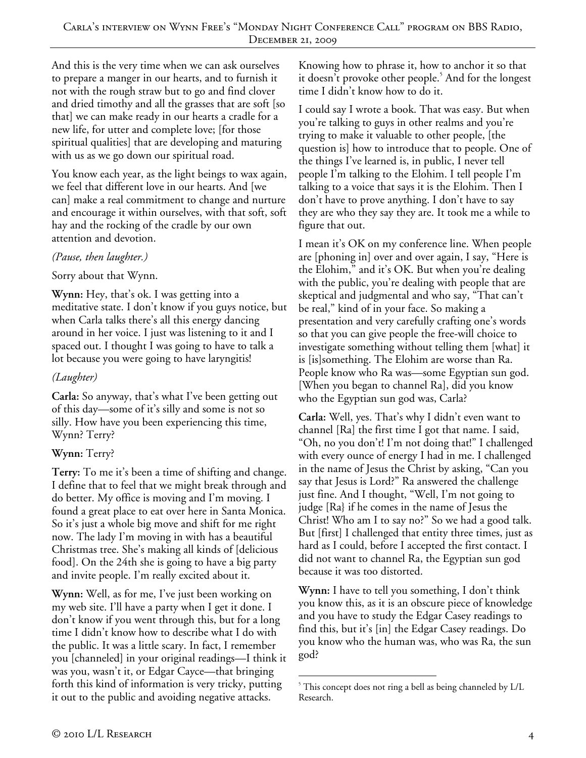And this is the very time when we can ask ourselves to prepare a manger in our hearts, and to furnish it not with the rough straw but to go and find clover and dried timothy and all the grasses that are soft [so that] we can make ready in our hearts a cradle for a new life, for utter and complete love; [for those spiritual qualities] that are developing and maturing with us as we go down our spiritual road.

You know each year, as the light beings to wax again, we feel that different love in our hearts. And [we can] make a real commitment to change and nurture and encourage it within ourselves, with that soft, soft hay and the rocking of the cradle by our own attention and devotion.

#### *(Pause, then laughter.)*

#### Sorry about that Wynn.

**Wynn:** Hey, that's ok. I was getting into a meditative state. I don't know if you guys notice, but when Carla talks there's all this energy dancing around in her voice. I just was listening to it and I spaced out. I thought I was going to have to talk a lot because you were going to have laryngitis!

## *(Laughter)*

**Carla:** So anyway, that's what I've been getting out of this day—some of it's silly and some is not so silly. How have you been experiencing this time, Wynn? Terry?

## **Wynn:** Terry?

**Terry:** To me it's been a time of shifting and change. I define that to feel that we might break through and do better. My office is moving and I'm moving. I found a great place to eat over here in Santa Monica. So it's just a whole big move and shift for me right now. The lady I'm moving in with has a beautiful Christmas tree. She's making all kinds of [delicious food]. On the 24th she is going to have a big party and invite people. I'm really excited about it.

**Wynn:** Well, as for me, I've just been working on my web site. I'll have a party when I get it done. I don't know if you went through this, but for a long time I didn't know how to describe what I do with the public. It was a little scary. In fact, I remember you [channeled] in your original readings—I think it was you, wasn't it, or Edgar Cayce—that bringing forth this kind of information is very tricky, putting it out to the public and avoiding negative attacks.

Knowing how to phrase it, how to anchor it so that it doesn't provoke other people.<sup>5</sup> And for the longest time I didn't know how to do it.

I could say I wrote a book. That was easy. But when you're talking to guys in other realms and you're trying to make it valuable to other people, [the question is] how to introduce that to people. One of the things I've learned is, in public, I never tell people I'm talking to the Elohim. I tell people I'm talking to a voice that says it is the Elohim. Then I don't have to prove anything. I don't have to say they are who they say they are. It took me a while to figure that out.

I mean it's OK on my conference line. When people are [phoning in] over and over again, I say, "Here is the Elohim," and it's OK. But when you're dealing with the public, you're dealing with people that are skeptical and judgmental and who say, "That can't be real," kind of in your face. So making a presentation and very carefully crafting one's words so that you can give people the free-will choice to investigate something without telling them [what] it is [is]something. The Elohim are worse than Ra. People know who Ra was—some Egyptian sun god. [When you began to channel Ra], did you know who the Egyptian sun god was, Carla?

**Carla:** Well, yes. That's why I didn't even want to channel [Ra] the first time I got that name. I said, "Oh, no you don't! I'm not doing that!" I challenged with every ounce of energy I had in me. I challenged in the name of Jesus the Christ by asking, "Can you say that Jesus is Lord?" Ra answered the challenge just fine. And I thought, "Well, I'm not going to judge [Ra} if he comes in the name of Jesus the Christ! Who am I to say no?" So we had a good talk. But [first] I challenged that entity three times, just as hard as I could, before I accepted the first contact. I did not want to channel Ra, the Egyptian sun god because it was too distorted.

**Wynn:** I have to tell you something, I don't think you know this, as it is an obscure piece of knowledge and you have to study the Edgar Casey readings to find this, but it's [in] the Edgar Casey readings. Do you know who the human was, who was Ra, the sun god?

 $\overline{a}$ <sup>5</sup> This concept does not ring a bell as being channeled by L/L Research.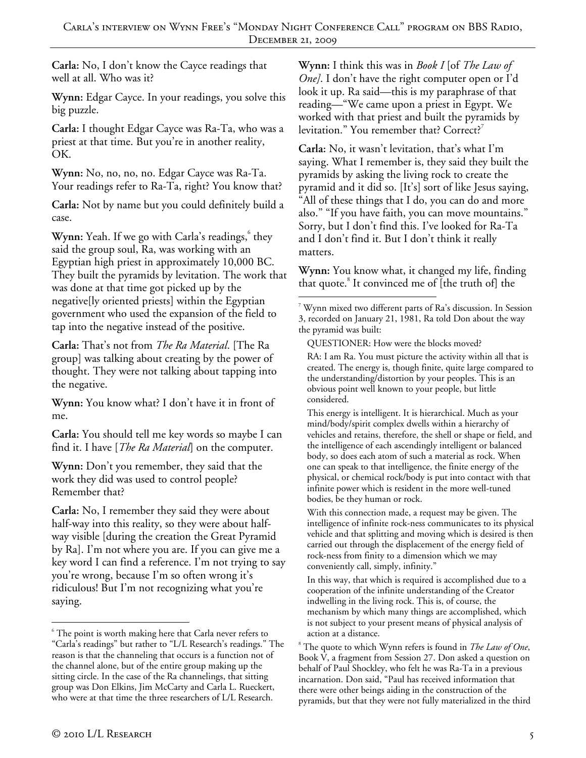**Carla:** No, I don't know the Cayce readings that well at all. Who was it?

**Wynn:** Edgar Cayce. In your readings, you solve this big puzzle.

**Carla:** I thought Edgar Cayce was Ra-Ta, who was a priest at that time. But you're in another reality, OK.

**Wynn:** No, no, no, no. Edgar Cayce was Ra-Ta. Your readings refer to Ra-Ta, right? You know that?

**Carla:** Not by name but you could definitely build a case.

**Wynn:** Yeah. If we go with Carla's readings, they said the group soul, Ra, was working with an Egyptian high priest in approximately 10,000 BC. They built the pyramids by levitation. The work that was done at that time got picked up by the negative[ly oriented priests] within the Egyptian government who used the expansion of the field to tap into the negative instead of the positive.

**Carla:** That's not from *The Ra Material*. [The Ra group] was talking about creating by the power of thought. They were not talking about tapping into the negative.

**Wynn:** You know what? I don't have it in front of me.

**Carla:** You should tell me key words so maybe I can find it. I have [*The Ra Material*] on the computer.

**Wynn:** Don't you remember, they said that the work they did was used to control people? Remember that?

**Carla:** No, I remember they said they were about half-way into this reality, so they were about halfway visible [during the creation the Great Pyramid by Ra]. I'm not where you are. If you can give me a key word I can find a reference. I'm not trying to say you're wrong, because I'm so often wrong it's ridiculous! But I'm not recognizing what you're saying.

**Wynn:** I think this was in *Book I* [of *The Law of One]*. I don't have the right computer open or I'd look it up. Ra said—this is my paraphrase of that reading—"We came upon a priest in Egypt. We worked with that priest and built the pyramids by levitation." You remember that? Correct?<sup>7</sup>

**Carla:** No, it wasn't levitation, that's what I'm saying. What I remember is, they said they built the pyramids by asking the living rock to create the pyramid and it did so. [It's] sort of like Jesus saying, "All of these things that I do, you can do and more also." "If you have faith, you can move mountains." Sorry, but I don't find this. I've looked for Ra-Ta and I don't find it. But I don't think it really matters.

**Wynn:** You know what, it changed my life, finding that quote.<sup>8</sup> It convinced me of [the truth of] the

QUESTIONER: How were the blocks moved?

This energy is intelligent. It is hierarchical. Much as your mind/body/spirit complex dwells within a hierarchy of vehicles and retains, therefore, the shell or shape or field, and the intelligence of each ascendingly intelligent or balanced body, so does each atom of such a material as rock. When one can speak to that intelligence, the finite energy of the physical, or chemical rock/body is put into contact with that infinite power which is resident in the more well-tuned bodies, be they human or rock.

With this connection made, a request may be given. The intelligence of infinite rock-ness communicates to its physical vehicle and that splitting and moving which is desired is then carried out through the displacement of the energy field of rock-ness from finity to a dimension which we may conveniently call, simply, infinity."

In this way, that which is required is accomplished due to a cooperation of the infinite understanding of the Creator indwelling in the living rock. This is, of course, the mechanism by which many things are accomplished, which is not subject to your present means of physical analysis of action at a distance.

 $\overline{a}$ 

 $6$  The point is worth making here that Carla never refers to "Carla's readings" but rather to "L/L Research's readings." The reason is that the channeling that occurs is a function not of the channel alone, but of the entire group making up the sitting circle. In the case of the Ra channelings, that sitting group was Don Elkins, Jim McCarty and Carla L. Rueckert, who were at that time the three researchers of L/L Research.

 $\overline{a}$ 7 Wynn mixed two different parts of Ra's discussion. In Session 3, recorded on January 21, 1981, Ra told Don about the way the pyramid was built:

RA: I am Ra. You must picture the activity within all that is created. The energy is, though finite, quite large compared to the understanding/distortion by your peoples. This is an obvious point well known to your people, but little considered.

<sup>8</sup> The quote to which Wynn refers is found in *The Law of One*, Book V, a fragment from Session 27. Don asked a question on behalf of Paul Shockley, who felt he was Ra-Ta in a previous incarnation. Don said, "Paul has received information that there were other beings aiding in the construction of the pyramids, but that they were not fully materialized in the third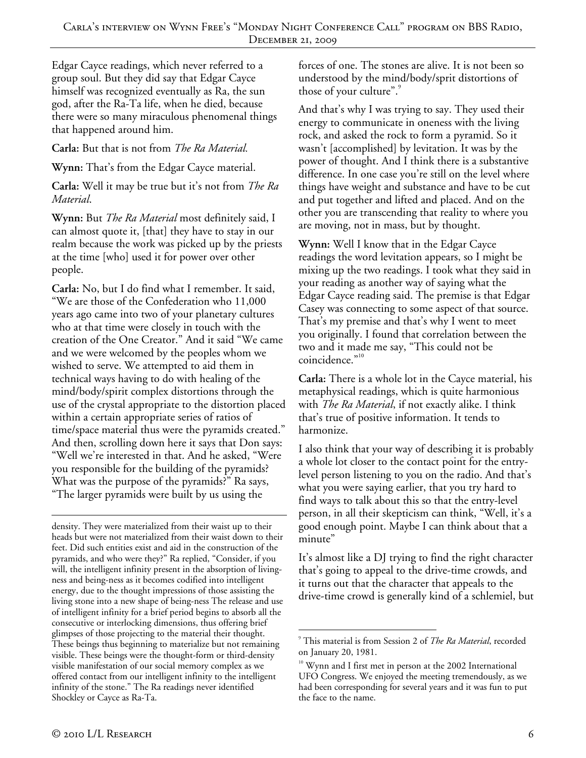Edgar Cayce readings, which never referred to a group soul. But they did say that Edgar Cayce himself was recognized eventually as Ra, the sun god, after the Ra-Ta life, when he died, because there were so many miraculous phenomenal things that happened around him.

#### **Carla:** But that is not from *The Ra Material.*

**Wynn:** That's from the Edgar Cayce material.

**Carla:** Well it may be true but it's not from *The Ra Material*.

**Wynn:** But *The Ra Material* most definitely said, I can almost quote it, [that] they have to stay in our realm because the work was picked up by the priests at the time [who] used it for power over other people.

**Carla:** No, but I do find what I remember. It said, "We are those of the Confederation who 11,000 years ago came into two of your planetary cultures who at that time were closely in touch with the creation of the One Creator." And it said "We came and we were welcomed by the peoples whom we wished to serve. We attempted to aid them in technical ways having to do with healing of the mind/body/spirit complex distortions through the use of the crystal appropriate to the distortion placed within a certain appropriate series of ratios of time/space material thus were the pyramids created." And then, scrolling down here it says that Don says: "Well we're interested in that. And he asked, "Were you responsible for the building of the pyramids? What was the purpose of the pyramids?" Ra says, "The larger pyramids were built by us using the

density. They were materialized from their waist up to their heads but were not materialized from their waist down to their feet. Did such entities exist and aid in the construction of the pyramids, and who were they?" Ra replied, "Consider, if you will, the intelligent infinity present in the absorption of livingness and being-ness as it becomes codified into intelligent energy, due to the thought impressions of those assisting the living stone into a new shape of being-ness The release and use of intelligent infinity for a brief period begins to absorb all the consecutive or interlocking dimensions, thus offering brief glimpses of those projecting to the material their thought. These beings thus beginning to materialize but not remaining visible. These beings were the thought-form or third-density visible manifestation of our social memory complex as we offered contact from our intelligent infinity to the intelligent infinity of the stone." The Ra readings never identified Shockley or Cayce as Ra-Ta.

forces of one. The stones are alive. It is not been so understood by the mind/body/sprit distortions of those of your culture".

And that's why I was trying to say. They used their energy to communicate in oneness with the living rock, and asked the rock to form a pyramid. So it wasn't [accomplished] by levitation. It was by the power of thought. And I think there is a substantive difference. In one case you're still on the level where things have weight and substance and have to be cut and put together and lifted and placed. And on the other you are transcending that reality to where you are moving, not in mass, but by thought.

**Wynn:** Well I know that in the Edgar Cayce readings the word levitation appears, so I might be mixing up the two readings. I took what they said in your reading as another way of saying what the Edgar Cayce reading said. The premise is that Edgar Casey was connecting to some aspect of that source. That's my premise and that's why I went to meet you originally. I found that correlation between the two and it made me say, "This could not be coincidence."<sup>10</sup>

**Carla:** There is a whole lot in the Cayce material, his metaphysical readings, which is quite harmonious with *The Ra Material*, if not exactly alike. I think that's true of positive information. It tends to harmonize.

I also think that your way of describing it is probably a whole lot closer to the contact point for the entrylevel person listening to you on the radio. And that's what you were saying earlier, that you try hard to find ways to talk about this so that the entry-level person, in all their skepticism can think, "Well, it's a good enough point. Maybe I can think about that a minute"

It's almost like a DJ trying to find the right character that's going to appeal to the drive-time crowds, and it turns out that the character that appeals to the drive-time crowd is generally kind of a schlemiel, but

 $\overline{a}$ 9 This material is from Session 2 of *The Ra Material*, recorded on January 20, 1981.

<sup>&</sup>lt;sup>10</sup> Wynn and I first met in person at the 2002 International UFO Congress. We enjoyed the meeting tremendously, as we had been corresponding for several years and it was fun to put the face to the name.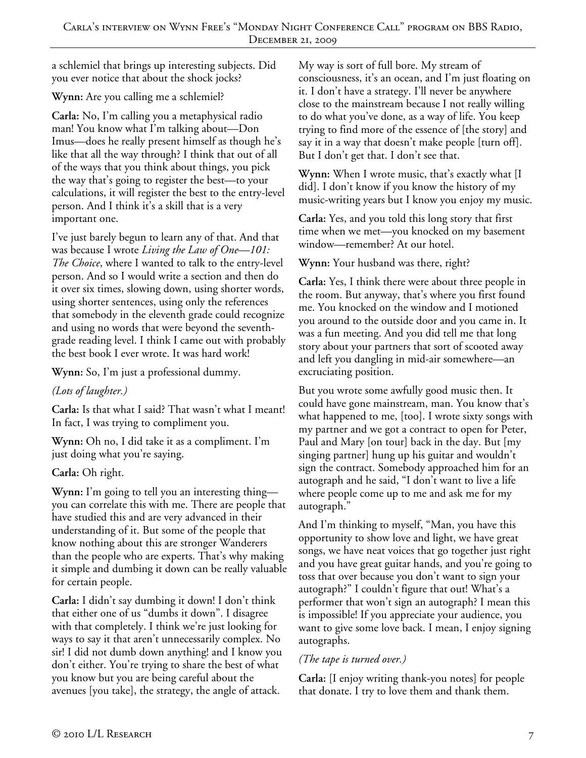a schlemiel that brings up interesting subjects. Did you ever notice that about the shock jocks?

**Wynn:** Are you calling me a schlemiel?

**Carla:** No, I'm calling you a metaphysical radio man! You know what I'm talking about—Don Imus—does he really present himself as though he's like that all the way through? I think that out of all of the ways that you think about things, you pick the way that's going to register the best—to your calculations, it will register the best to the entry-level person. And I think it's a skill that is a very important one.

I've just barely begun to learn any of that. And that was because I wrote *Living the Law of One—101: The Choice*, where I wanted to talk to the entry-level person. And so I would write a section and then do it over six times, slowing down, using shorter words, using shorter sentences, using only the references that somebody in the eleventh grade could recognize and using no words that were beyond the seventhgrade reading level. I think I came out with probably the best book I ever wrote. It was hard work!

**Wynn:** So, I'm just a professional dummy.

*(Lots of laughter.)* 

**Carla:** Is that what I said? That wasn't what I meant! In fact, I was trying to compliment you.

**Wynn:** Oh no, I did take it as a compliment. I'm just doing what you're saying.

**Carla:** Oh right.

**Wynn:** I'm going to tell you an interesting thing you can correlate this with me. There are people that have studied this and are very advanced in their understanding of it. But some of the people that know nothing about this are stronger Wanderers than the people who are experts. That's why making it simple and dumbing it down can be really valuable for certain people.

**Carla:** I didn't say dumbing it down! I don't think that either one of us "dumbs it down". I disagree with that completely. I think we're just looking for ways to say it that aren't unnecessarily complex. No sir! I did not dumb down anything! and I know you don't either. You're trying to share the best of what you know but you are being careful about the avenues [you take], the strategy, the angle of attack.

My way is sort of full bore. My stream of consciousness, it's an ocean, and I'm just floating on it. I don't have a strategy. I'll never be anywhere close to the mainstream because I not really willing to do what you've done, as a way of life. You keep trying to find more of the essence of [the story] and say it in a way that doesn't make people [turn off]. But I don't get that. I don't see that.

**Wynn:** When I wrote music, that's exactly what [I did]. I don't know if you know the history of my music-writing years but I know you enjoy my music.

**Carla:** Yes, and you told this long story that first time when we met—you knocked on my basement window—remember? At our hotel.

**Wynn:** Your husband was there, right?

**Carla:** Yes, I think there were about three people in the room. But anyway, that's where you first found me. You knocked on the window and I motioned you around to the outside door and you came in. It was a fun meeting. And you did tell me that long story about your partners that sort of scooted away and left you dangling in mid-air somewhere—an excruciating position.

But you wrote some awfully good music then. It could have gone mainstream, man. You know that's what happened to me, [too]. I wrote sixty songs with my partner and we got a contract to open for Peter, Paul and Mary [on tour] back in the day. But [my singing partner] hung up his guitar and wouldn't sign the contract. Somebody approached him for an autograph and he said, "I don't want to live a life where people come up to me and ask me for my autograph."

And I'm thinking to myself, "Man, you have this opportunity to show love and light, we have great songs, we have neat voices that go together just right and you have great guitar hands, and you're going to toss that over because you don't want to sign your autograph?" I couldn't figure that out! What's a performer that won't sign an autograph? I mean this is impossible! If you appreciate your audience, you want to give some love back. I mean, I enjoy signing autographs.

## *(The tape is turned over.)*

**Carla:** [I enjoy writing thank-you notes] for people that donate. I try to love them and thank them.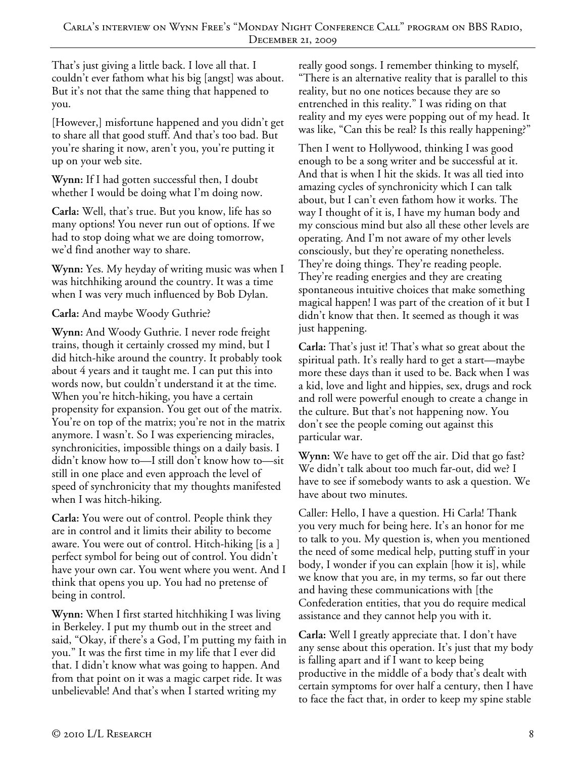That's just giving a little back. I love all that. I couldn't ever fathom what his big [angst] was about. But it's not that the same thing that happened to you.

[However,] misfortune happened and you didn't get to share all that good stuff. And that's too bad. But you're sharing it now, aren't you, you're putting it up on your web site.

**Wynn:** If I had gotten successful then, I doubt whether I would be doing what I'm doing now.

**Carla:** Well, that's true. But you know, life has so many options! You never run out of options. If we had to stop doing what we are doing tomorrow, we'd find another way to share.

**Wynn:** Yes. My heyday of writing music was when I was hitchhiking around the country. It was a time when I was very much influenced by Bob Dylan.

## **Carla:** And maybe Woody Guthrie?

**Wynn:** And Woody Guthrie. I never rode freight trains, though it certainly crossed my mind, but I did hitch-hike around the country. It probably took about 4 years and it taught me. I can put this into words now, but couldn't understand it at the time. When you're hitch-hiking, you have a certain propensity for expansion. You get out of the matrix. You're on top of the matrix; you're not in the matrix anymore. I wasn't. So I was experiencing miracles, synchronicities, impossible things on a daily basis. I didn't know how to—I still don't know how to—sit still in one place and even approach the level of speed of synchronicity that my thoughts manifested when I was hitch-hiking.

**Carla:** You were out of control. People think they are in control and it limits their ability to become aware. You were out of control. Hitch-hiking [is a ] perfect symbol for being out of control. You didn't have your own car. You went where you went. And I think that opens you up. You had no pretense of being in control.

**Wynn:** When I first started hitchhiking I was living in Berkeley. I put my thumb out in the street and said, "Okay, if there's a God, I'm putting my faith in you." It was the first time in my life that I ever did that. I didn't know what was going to happen. And from that point on it was a magic carpet ride. It was unbelievable! And that's when I started writing my

really good songs. I remember thinking to myself, "There is an alternative reality that is parallel to this reality, but no one notices because they are so entrenched in this reality." I was riding on that reality and my eyes were popping out of my head. It was like, "Can this be real? Is this really happening?"

Then I went to Hollywood, thinking I was good enough to be a song writer and be successful at it. And that is when I hit the skids. It was all tied into amazing cycles of synchronicity which I can talk about, but I can't even fathom how it works. The way I thought of it is, I have my human body and my conscious mind but also all these other levels are operating. And I'm not aware of my other levels consciously, but they're operating nonetheless. They're doing things. They're reading people. They're reading energies and they are creating spontaneous intuitive choices that make something magical happen! I was part of the creation of it but I didn't know that then. It seemed as though it was just happening.

**Carla:** That's just it! That's what so great about the spiritual path. It's really hard to get a start—maybe more these days than it used to be. Back when I was a kid, love and light and hippies, sex, drugs and rock and roll were powerful enough to create a change in the culture. But that's not happening now. You don't see the people coming out against this particular war.

**Wynn:** We have to get off the air. Did that go fast? We didn't talk about too much far-out, did we? I have to see if somebody wants to ask a question. We have about two minutes.

Caller: Hello, I have a question. Hi Carla! Thank you very much for being here. It's an honor for me to talk to you. My question is, when you mentioned the need of some medical help, putting stuff in your body, I wonder if you can explain [how it is], while we know that you are, in my terms, so far out there and having these communications with [the Confederation entities, that you do require medical assistance and they cannot help you with it.

**Carla:** Well I greatly appreciate that. I don't have any sense about this operation. It's just that my body is falling apart and if I want to keep being productive in the middle of a body that's dealt with certain symptoms for over half a century, then I have to face the fact that, in order to keep my spine stable